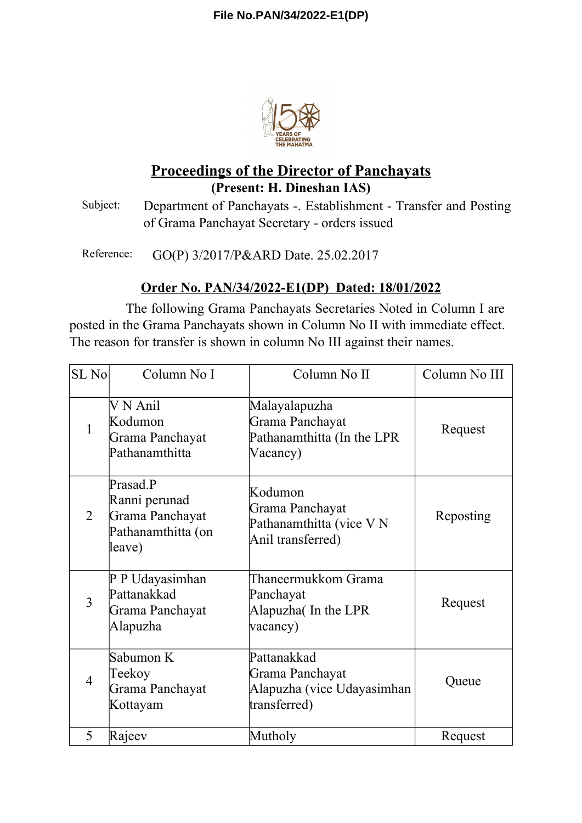

## **Proceedings of the Director of Panchayats (Present: H. Dineshan IAS)**

Subject: Department of Panchayats -. Establishment - Transfer and Posting of Grama Panchayat Secretary - orders issued

Reference: GO(P) 3/2017/P&ARD Date. 25.02.2017

## **Order No. PAN/34/2022-E1(DP) Dated: 18/01/2022**

The following Grama Panchayats Secretaries Noted in Column I are posted in the Grama Panchayats shown in Column No II with immediate effect. The reason for transfer is shown in column No III against their names.

| SL No          | Column No I                                                                  | Column No II                                                                 | Column No III |
|----------------|------------------------------------------------------------------------------|------------------------------------------------------------------------------|---------------|
| $\mathbf{1}$   | V N Anil<br>Kodumon<br>Grama Panchayat<br>Pathanamthitta                     | Malayalapuzha<br>Grama Panchayat<br>Pathanamthitta (In the LPR<br>Vacancy)   | Request       |
| $\overline{2}$ | Prasad.P<br>Ranni perunad<br>Grama Panchayat<br>Pathanamthitta (on<br>leave) | Kodumon<br>Grama Panchayat<br>Pathanamthitta (vice VN<br>Anil transferred)   | Reposting     |
| $\overline{3}$ | P P Udayasimhan<br>Pattanakkad<br>Grama Panchayat<br>Alapuzha                | Thaneermukkom Grama<br>Panchayat<br>Alapuzha (In the LPR<br>vacancy)         | Request       |
| $\overline{4}$ | Sabumon K<br>Teekoy<br>Grama Panchayat<br>Kottayam                           | Pattanakkad<br>Grama Panchayat<br>Alapuzha (vice Udayasimhan<br>transferred) | Queue         |
| 5              | Rajeev                                                                       | Mutholy                                                                      | Request       |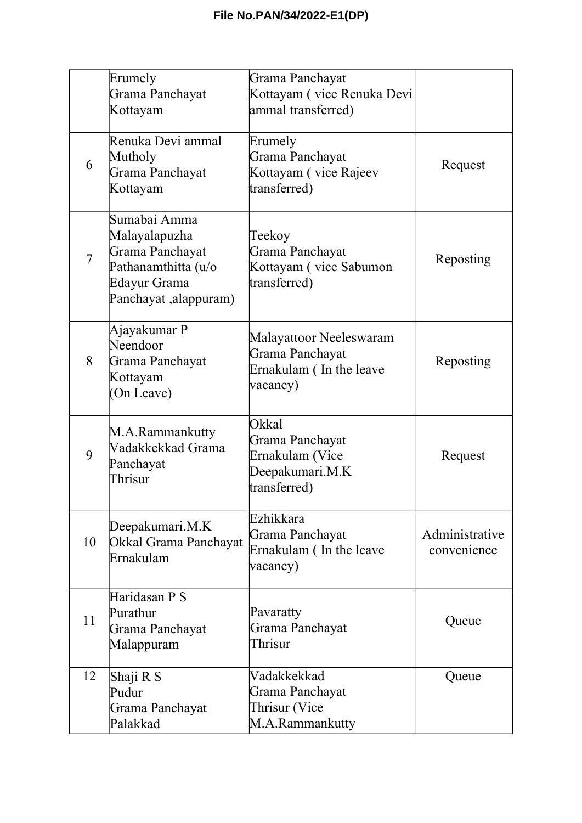|                | Erumely<br>Grama Panchayat<br>Kottayam                                                                           | Grama Panchayat<br>Kottayam (vice Renuka Devi<br>ammal transferred)                   |                               |
|----------------|------------------------------------------------------------------------------------------------------------------|---------------------------------------------------------------------------------------|-------------------------------|
| 6              | Renuka Devi ammal<br>Mutholy<br>Grama Panchayat<br>Kottayam                                                      | Erumely<br>Grama Panchayat<br>Kottayam (vice Rajeev<br>transferred)                   | Request                       |
| $\overline{7}$ | Sumabai Amma<br>Malayalapuzha<br>Grama Panchayat<br>Pathanamthitta (u/o<br>Edayur Grama<br>Panchayat ,alappuram) | Teekoy<br>Grama Panchayat<br>Kottayam (vice Sabumon<br>transferred)                   | Reposting                     |
| 8              | Ajayakumar P<br>Neendoor<br>Grama Panchayat<br>Kottayam<br>(On Leave)                                            | Malayattoor Neeleswaram<br>Grama Panchayat<br>Ernakulam (In the leave<br>vacancy)     | Reposting                     |
| 9              | M.A.Rammankutty<br>Vadakkekkad Grama<br>Panchayat<br>Thrisur                                                     | <b>Okkal</b><br>Grama Panchayat<br>Ernakulam (Vice<br>Deepakumari.M.K<br>transferred) | Request                       |
| 10             | Deepakumari.M.K<br>Okkal Grama Panchayat<br>Ernakulam                                                            | Ezhikkara<br>Grama Panchayat<br>Ernakulam (In the leave<br>vacancy)                   | Administrative<br>convenience |
| 11             | Haridasan P S<br>Purathur<br>Grama Panchayat<br>Malappuram                                                       | Pavaratty<br>Grama Panchayat<br>Thrisur                                               | Queue                         |
| 12             | Shaji R S<br>Pudur<br>Grama Panchayat<br>Palakkad                                                                | Vadakkekkad<br>Grama Panchayat<br>Thrisur (Vice<br>M.A.Rammankutty                    | Queue                         |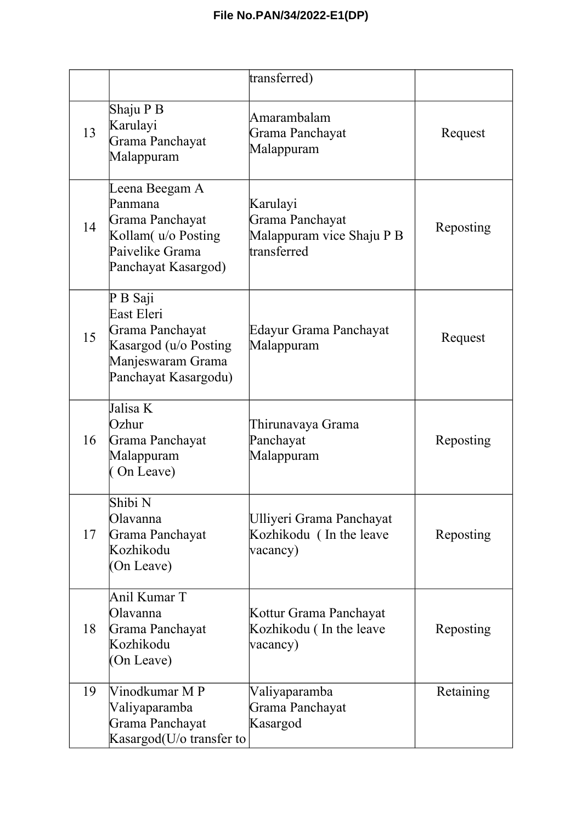|    |                                                                                                                 | transferred)                                                            |           |
|----|-----------------------------------------------------------------------------------------------------------------|-------------------------------------------------------------------------|-----------|
| 13 | Shaju P B<br>Karulayi<br>Grama Panchayat<br>Malappuram                                                          | Amarambalam<br>Grama Panchayat<br>Malappuram                            | Request   |
| 14 | Leena Beegam A<br>Panmana<br>Grama Panchayat<br>Kollam( u/o Posting<br>Paivelike Grama<br>Panchayat Kasargod)   | Karulayi<br>Grama Panchayat<br>Malappuram vice Shaju P B<br>transferred | Reposting |
| 15 | P B Saji<br>East Eleri<br>Grama Panchayat<br>Kasargod (u/o Posting<br>Manjeswaram Grama<br>Panchayat Kasargodu) | Edayur Grama Panchayat<br>Malappuram                                    | Request   |
| 16 | Jalisa K<br>Ozhur<br>Grama Panchayat<br>Malappuram<br>(On Leave)                                                | Thirunavaya Grama<br>Panchayat<br>Malappuram                            | Reposting |
| 17 | Shibi N<br>Olavanna<br>Grama Panchayat<br>Kozhikodu<br>(On Leave)                                               | Ulliyeri Grama Panchayat<br>Kozhikodu (In the leave<br>vacancy)         | Reposting |
| 18 | Anil Kumar T<br>Olavanna<br>Grama Panchayat<br>Kozhikodu<br>(On Leave)                                          | Kottur Grama Panchayat<br>Kozhikodu (In the leave<br>vacancy)           | Reposting |
| 19 | Vinodkumar M P<br>Valiyaparamba<br>Grama Panchayat<br>Kasargod(U/o transfer to                                  | Valiyaparamba<br>Grama Panchayat<br>Kasargod                            | Retaining |